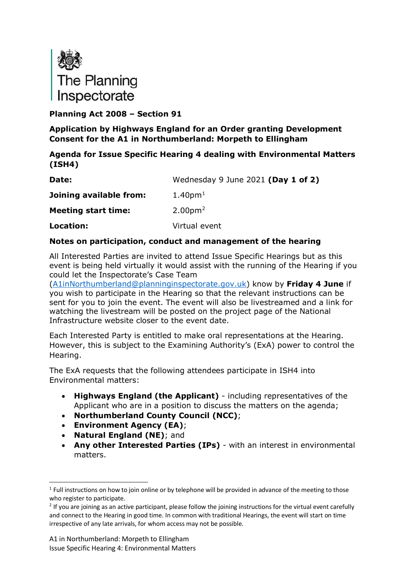

**Planning Act 2008 – Section 91**

**Application by Highways England for an Order granting Development Consent for the A1 in Northumberland: Morpeth to Ellingham**

#### **Agenda for Issue Specific Hearing 4 dealing with Environmental Matters (ISH4)**

| Date:                      | Wednesday 9 June 2021 (Day 1 of 2) |
|----------------------------|------------------------------------|
| Joining available from:    | 1.40 <sub>pm1</sub>                |
| <b>Meeting start time:</b> | 2.00 <sub>pm</sub> <sup>2</sup>    |
| Location:                  | Virtual event                      |

#### **Notes on participation, conduct and management of the hearing**

All Interested Parties are invited to attend Issue Specific Hearings but as this event is being held virtually it would assist with the running of the Hearing if you could let the Inspectorate's Case Team

[\(A1inNorthumberland@planninginspectorate.gov.uk\)](mailto:A1inNorthumberland@planninginspectorate.gov.uk) know by **Friday 4 June** if you wish to participate in the Hearing so that the relevant instructions can be sent for you to join the event. The event will also be livestreamed and a link for watching the livestream will be posted on the project page of the National Infrastructure website closer to the event date.

Each Interested Party is entitled to make oral representations at the Hearing. However, this is subject to the Examining Authority's (ExA) power to control the Hearing.

The ExA requests that the following attendees participate in ISH4 into Environmental matters:

- **Highways England (the Applicant)** including representatives of the Applicant who are in a position to discuss the matters on the agenda;
- **Northumberland County Council (NCC)**;
- **Environment Agency (EA)**;
- **Natural England (NE)**; and
- **Any other Interested Parties (IPs)** with an interest in environmental matters.

<span id="page-0-0"></span><sup>&</sup>lt;sup>1</sup> Full instructions on how to join online or by telephone will be provided in advance of the meeting to those who register to participate.

<span id="page-0-1"></span> $2$  If you are joining as an active participant, please follow the joining instructions for the virtual event carefully and connect to the Hearing in good time. In common with traditional Hearings, the event will start on time irrespective of any late arrivals, for whom access may not be possible.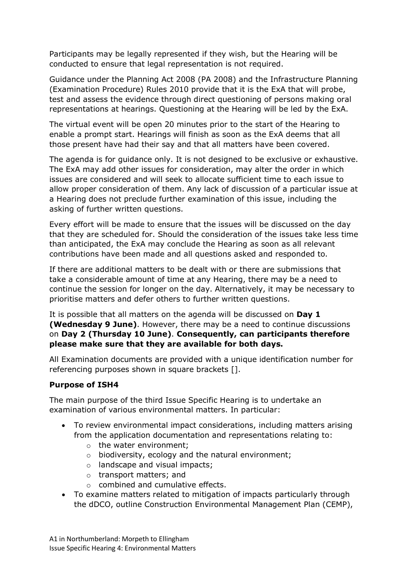Participants may be legally represented if they wish, but the Hearing will be conducted to ensure that legal representation is not required.

Guidance under the Planning Act 2008 (PA 2008) and the Infrastructure Planning (Examination Procedure) Rules 2010 provide that it is the ExA that will probe, test and assess the evidence through direct questioning of persons making oral representations at hearings. Questioning at the Hearing will be led by the ExA.

The virtual event will be open 20 minutes prior to the start of the Hearing to enable a prompt start. Hearings will finish as soon as the ExA deems that all those present have had their say and that all matters have been covered.

The agenda is for guidance only. It is not designed to be exclusive or exhaustive. The ExA may add other issues for consideration, may alter the order in which issues are considered and will seek to allocate sufficient time to each issue to allow proper consideration of them. Any lack of discussion of a particular issue at a Hearing does not preclude further examination of this issue, including the asking of further written questions.

Every effort will be made to ensure that the issues will be discussed on the day that they are scheduled for. Should the consideration of the issues take less time than anticipated, the ExA may conclude the Hearing as soon as all relevant contributions have been made and all questions asked and responded to.

If there are additional matters to be dealt with or there are submissions that take a considerable amount of time at any Hearing, there may be a need to continue the session for longer on the day. Alternatively, it may be necessary to prioritise matters and defer others to further written questions.

It is possible that all matters on the agenda will be discussed on **Day 1 (Wednesday 9 June)**. However, there may be a need to continue discussions on **Day 2 (Thursday 10 June)**. **Consequently, can participants therefore please make sure that they are available for both days.**

All Examination documents are provided with a unique identification number for referencing purposes shown in square brackets [].

## **Purpose of ISH4**

The main purpose of the third Issue Specific Hearing is to undertake an examination of various environmental matters. In particular:

- To review environmental impact considerations, including matters arising from the application documentation and representations relating to:
	- o the water environment;
	- o biodiversity, ecology and the natural environment;
	- o landscape and visual impacts;
	- o transport matters; and
	- o combined and cumulative effects.
- To examine matters related to mitigation of impacts particularly through the dDCO, outline Construction Environmental Management Plan (CEMP),

A1 in Northumberland: Morpeth to Ellingham Issue Specific Hearing 4: Environmental Matters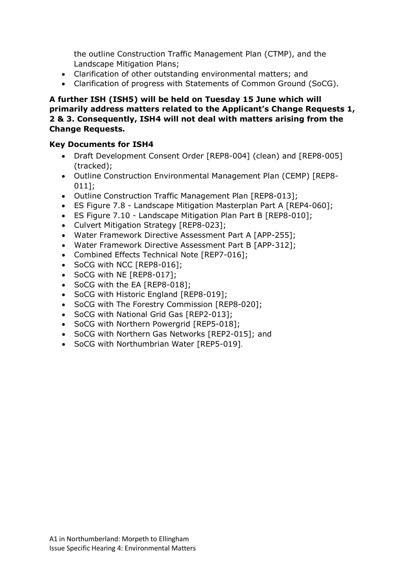the outline Construction Traffic Management Plan (CTMP), and the Landscape Mitigation Plans;

- Clarification of other outstanding environmental matters; and
- Clarification of progress with Statements of Common Ground (SoCG).

#### **A further ISH (ISH5) will be held on Tuesday 15 June which will primarily address matters related to the Applicant's Change Requests 1, 2 & 3. Consequently, ISH4 will not deal with matters arising from the Change Requests.**

#### **Key Documents for ISH4**

- Draft Development Consent Order [REP8-004] (clean) and [REP8-005] (tracked);
- Outline Construction Environmental Management Plan (CEMP) [REP8- 011];
- Outline Construction Traffic Management Plan [REP8-013];
- ES Figure 7.8 Landscape Mitigation Masterplan Part A [REP4-060];
- ES Figure 7.10 Landscape Mitigation Plan Part B [REP8-010];
- Culvert Mitigation Strategy [REP8-023];
- Water Framework Directive Assessment Part A [APP-255];
- Water Framework Directive Assessment Part B [APP-312];
- Combined Effects Technical Note [REP7-016];
- SoCG with NCC [REP8-016];
- SoCG with NE [REP8-017];
- SoCG with the EA [REP8-018];
- SoCG with Historic England [REP8-019];
- SoCG with The Forestry Commission [REP8-020];
- SoCG with National Grid Gas [REP2-013];
- SoCG with Northern Powergrid [REP5-018];
- SoCG with Northern Gas Networks [REP2-015]; and
- SoCG with Northumbrian Water [REP5-019].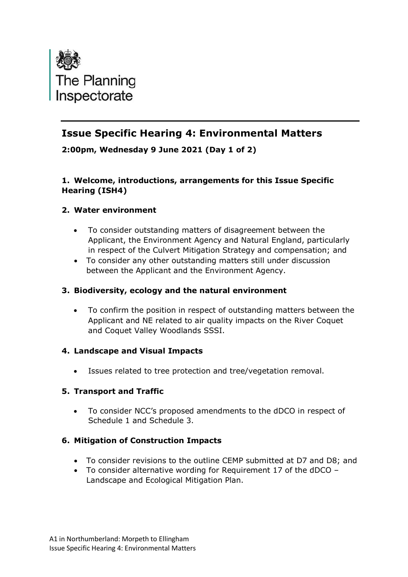

# **Issue Specific Hearing 4: Environmental Matters**

**2:00pm, Wednesday 9 June 2021 (Day 1 of 2)**

## **1. Welcome, introductions, arrangements for this Issue Specific Hearing (ISH4)**

# **2. Water environment**

- To consider outstanding matters of disagreement between the Applicant, the Environment Agency and Natural England, particularly in respect of the Culvert Mitigation Strategy and compensation; and
- To consider any other outstanding matters still under discussion between the Applicant and the Environment Agency.

## **3. Biodiversity, ecology and the natural environment**

• To confirm the position in respect of outstanding matters between the Applicant and NE related to air quality impacts on the River Coquet and Coquet Valley Woodlands SSSI.

## **4. Landscape and Visual Impacts**

• Issues related to tree protection and tree/vegetation removal.

## **5. Transport and Traffic**

• To consider NCC's proposed amendments to the dDCO in respect of Schedule 1 and Schedule 3.

## **6. Mitigation of Construction Impacts**

- To consider revisions to the outline CEMP submitted at D7 and D8; and
- To consider alternative wording for Requirement 17 of the dDCO Landscape and Ecological Mitigation Plan.